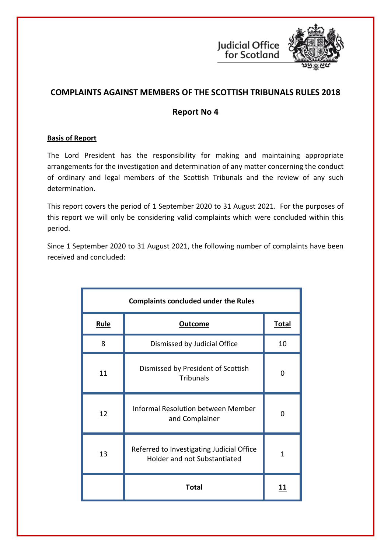

# **COMPLAINTS AGAINST MEMBERS OF THE SCOTTISH TRIBUNALS RULES 2018**

## **Report No 4**

## **Basis of Report**

The Lord President has the responsibility for making and maintaining appropriate arrangements for the investigation and determination of any matter concerning the conduct of ordinary and legal members of the Scottish Tribunals and the review of any such determination.

This report covers the period of 1 September 2020 to 31 August 2021. For the purposes of this report we will only be considering valid complaints which were concluded within this period.

Since 1 September 2020 to 31 August 2021, the following number of complaints have been received and concluded:

| <b>Complaints concluded under the Rules</b> |                                                                           |              |  |
|---------------------------------------------|---------------------------------------------------------------------------|--------------|--|
| <b>Rule</b>                                 | <b>Outcome</b>                                                            | <u>Total</u> |  |
| 8                                           | Dismissed by Judicial Office                                              | 10           |  |
| 11                                          | Dismissed by President of Scottish<br><b>Tribunals</b>                    | O            |  |
| 12                                          | <b>Informal Resolution between Member</b><br>and Complainer               | O            |  |
| 13                                          | Referred to Investigating Judicial Office<br>Holder and not Substantiated | 1            |  |
|                                             | <b>Total</b>                                                              | 11           |  |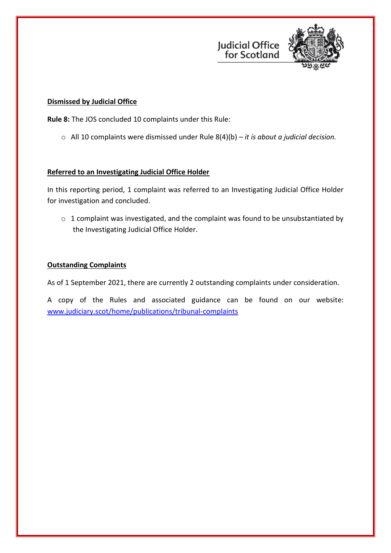



#### **Dismissed by Judicial Office**

**Rule 8:** The JOS concluded 10 complaints under this Rule:

o All 10 complaints were dismissed under Rule 8(4)(b) – *it is about a judicial decision.*

## **Referred to an Investigating Judicial Office Holder**

In this reporting period, 1 complaint was referred to an Investigating Judicial Office Holder for investigation and concluded.

 $\circ$  1 complaint was investigated, and the complaint was found to be unsubstantiated by the Investigating Judicial Office Holder.

#### **Outstanding Complaints**

As of 1 September 2021, there are currently 2 outstanding complaints under consideration.

A copy of the Rules and associated guidance can be found on our website: [www.judiciary.scot/home/publications/tribunal-complaints](https://www.judiciary.scot/home/publications/tribunal-complaints)